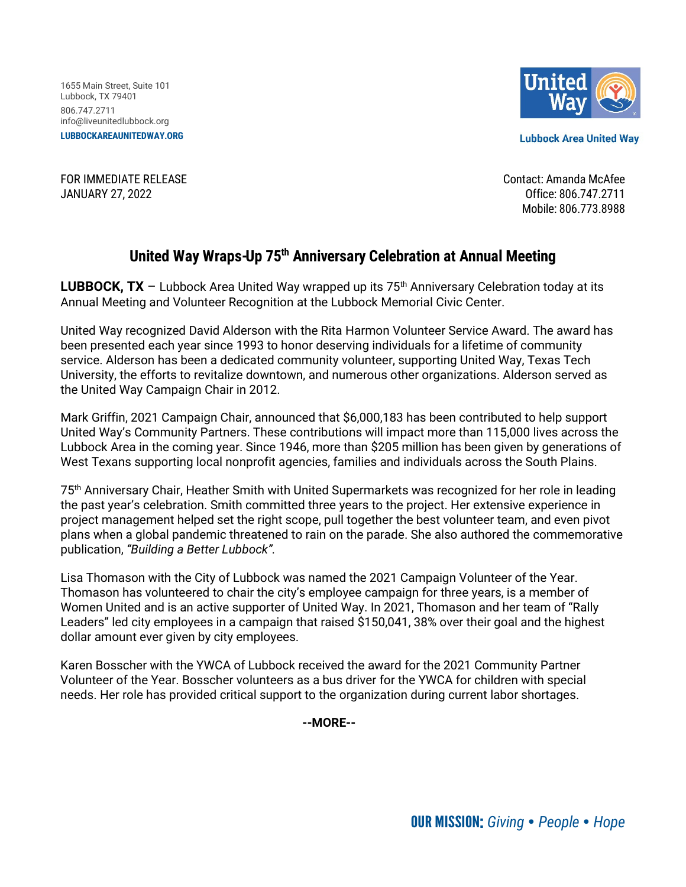1655 Main Street, Suite 101 Lubbock, TX 79401 806.747.2711 info@liveunitedlubbock.org **LUBBOCKAREAUNITEDWAY.ORG**



**Lubbock Area United Way** 

FOR IMMEDIATE RELEASE Contact: Amanda McAfee JANUARY 27, 2022 Office: 806.747.2711

Mobile: 806.773.8988

## **United Way Wraps-Up 75th Anniversary Celebration at Annual Meeting**

**LUBBOCK, TX** – Lubbock Area United Way wrapped up its  $75<sup>th</sup>$  Anniversary Celebration today at its Annual Meeting and Volunteer Recognition at the Lubbock Memorial Civic Center.

United Way recognized David Alderson with the Rita Harmon Volunteer Service Award. The award has been presented each year since 1993 to honor deserving individuals for a lifetime of community service. Alderson has been a dedicated community volunteer, supporting United Way, Texas Tech University, the efforts to revitalize downtown, and numerous other organizations. Alderson served as the United Way Campaign Chair in 2012.

Mark Griffin, 2021 Campaign Chair, announced that \$6,000,183 has been contributed to help support United Way's Community Partners. These contributions will impact more than 115,000 lives across the Lubbock Area in the coming year. Since 1946, more than \$205 million has been given by generations of West Texans supporting local nonprofit agencies, families and individuals across the South Plains.

75th Anniversary Chair, Heather Smith with United Supermarkets was recognized for her role in leading the past year's celebration. Smith committed three years to the project. Her extensive experience in project management helped set the right scope, pull together the best volunteer team, and even pivot plans when a global pandemic threatened to rain on the parade. She also authored the commemorative publication, *"Building a Better Lubbock".*

Lisa Thomason with the City of Lubbock was named the 2021 Campaign Volunteer of the Year. Thomason has volunteered to chair the city's employee campaign for three years, is a member of Women United and is an active supporter of United Way. In 2021, Thomason and her team of "Rally Leaders" led city employees in a campaign that raised \$150,041, 38% over their goal and the highest dollar amount ever given by city employees.

Karen Bosscher with the YWCA of Lubbock received the award for the 2021 Community Partner Volunteer of the Year. Bosscher volunteers as a bus driver for the YWCA for children with special needs. Her role has provided critical support to the organization during current labor shortages.

**--MORE--**